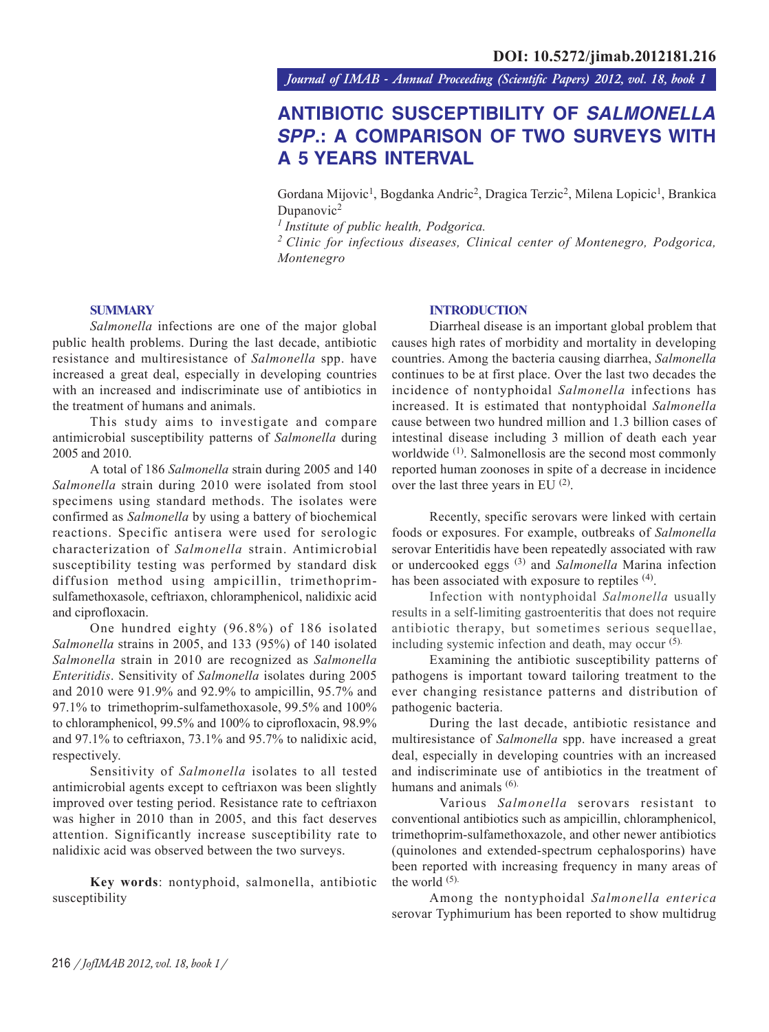*Journal of IMAB - Annual Proceeding (Scientific Papers) 2012, vol. 18, book 1*

# **ANTIBIOTIC SUSCEPTIBILITY OF** *SALMONELLA SPP***.: A COMPARISON OF TWO SURVEYS WITH A 5 YEARS INTERVAL**

Gordana Mijovic<sup>1</sup>, Bogdanka Andric<sup>2</sup>, Dragica Terzic<sup>2</sup>, Milena Lopicic<sup>1</sup>, Brankica Dupanovic<sup>2</sup>

*1 Institute of public health, Podgorica.*

*2 Clinic for infectious diseases, Clinical center of Montenegro, Podgorica, Montenegro*

## **SUMMARY**

*Salmonella* infections are one of the major global public health problems. During the last decade, antibiotic resistance and multiresistance of *Salmonella* spp. have increased a great deal, especially in developing countries with an increased and indiscriminate use of antibiotics in the treatment of humans and animals.

This study aims to investigate and compare antimicrobial susceptibility patterns of *Salmonella* during 2005 and 2010.

A total of 186 *Salmonella* strain during 2005 and 140 *Salmonella* strain during 2010 were isolated from stool specimens using standard methods. The isolates were confirmed as *Salmonella* by using a battery of biochemical reactions. Specific antisera were used for serologic characterization of *Salmonella* strain. Antimicrobial susceptibility testing was performed by standard disk diffusion method using ampicillin, trimethoprimsulfamethoxasole, ceftriaxon, chloramphenicol, nalidixic acid and ciprofloxacin.

One hundred eighty (96.8%) of 186 isolated *Salmonella* strains in 2005, and 133 (95%) of 140 isolated *Salmonella* strain in 2010 are recognized as *Salmonella Enteritidis*. Sensitivity of *Salmonella* isolates during 2005 and 2010 were 91.9% and 92.9% to ampicillin, 95.7% and 97.1% to trimethoprim-sulfamethoxasole, 99.5% and 100% to chloramphenicol, 99.5% and 100% to ciprofloxacin, 98.9% and 97.1% to ceftriaxon, 73.1% and 95.7% to nalidixic acid, respectively.

Sensitivity of *Salmonella* isolates to all tested antimicrobial agents except to ceftriaxon was been slightly improved over testing period. Resistance rate to ceftriaxon was higher in 2010 than in 2005, and this fact deserves attention. Significantly increase susceptibility rate to nalidixic acid was observed between the two surveys.

**Key words**: nontyphoid, salmonella, antibiotic susceptibility

# **INTRODUCTION**

Diarrheal disease is an important global problem that causes high rates of morbidity and mortality in developing countries. Among the bacteria causing diarrhea, *Salmonella* continues to be at first place. Over the last two decades the incidence of nontyphoidal *Salmonella* infections has increased. It is estimated that nontyphoidal *Salmonella* cause between two hundred million and 1.3 billion cases of intestinal disease including 3 million of death each year worldwide <sup>(1)</sup>. Salmonellosis are the second most commonly reported human zoonoses in spite of a decrease in incidence over the last three years in EU (2).

Recently, specific serovars were linked with certain foods or exposures. For example, outbreaks of *Salmonella* serovar Enteritidis have been repeatedly associated with raw or undercooked eggs (3) and *Salmonella* Marina infection has been associated with exposure to reptiles <sup>(4)</sup>.

Infection with nontyphoidal *Salmonella* usually results in a self-limiting gastroenteritis that does not require antibiotic therapy, but sometimes serious sequellae, including systemic infection and death, may occur (5).

Examining the antibiotic susceptibility patterns of pathogens is important toward tailoring treatment to the ever changing resistance patterns and distribution of pathogenic bacteria.

During the last decade, antibiotic resistance and multiresistance of *Salmonella* spp. have increased a great deal, especially in developing countries with an increased and indiscriminate use of antibiotics in the treatment of humans and animals  $(6)$ .

 Various *Salmonella* serovars resistant to conventional antibiotics such as ampicillin, chloramphenicol, trimethoprim-sulfamethoxazole, and other newer antibiotics (quinolones and extended-spectrum cephalosporins) have been reported with increasing frequency in many areas of the world (5).

Among the nontyphoidal *Salmonella enterica* serovar Typhimurium has been reported to show multidrug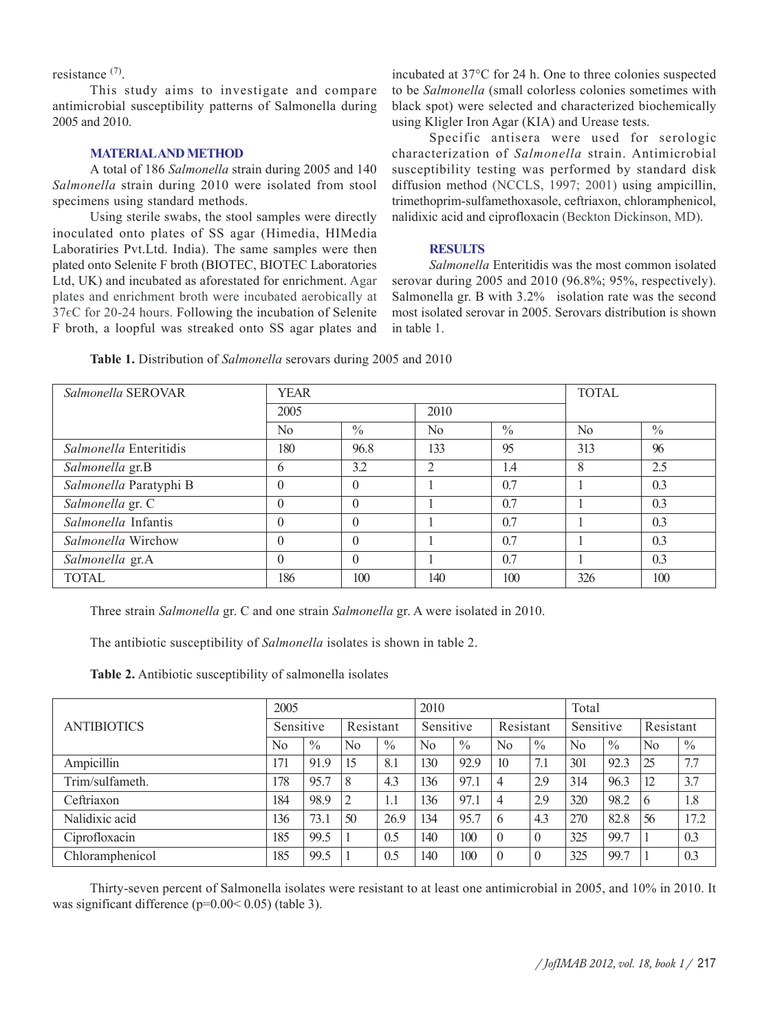resistance (7).

This study aims to investigate and compare antimicrobial susceptibility patterns of Salmonella during 2005 and 2010.

### **MATERIAL AND METHOD**

A total of 186 *Salmonella* strain during 2005 and 140 *Salmonella* strain during 2010 were isolated from stool specimens using standard methods.

Using sterile swabs, the stool samples were directly inoculated onto plates of SS agar (Himedia, HIMedia Laboratiries Pvt.Ltd. India). The same samples were then plated onto Selenite F broth (BIOTEC, BIOTEC Laboratories Ltd, UK) and incubated as aforestated for enrichment. Agar plates and enrichment broth were incubated aerobically at  $37 \epsilon$ C for 20-24 hours. Following the incubation of Selenite F broth, a loopful was streaked onto SS agar plates and

incubated at 37°C for 24 h. One to three colonies suspected to be *Salmonella* (small colorless colonies sometimes with black spot) were selected and characterized biochemically using Kligler Iron Agar (KIA) and Urease tests.

Specific antisera were used for serologic characterization of *Salmonella* strain. Antimicrobial susceptibility testing was performed by standard disk diffusion method (NCCLS, 1997; 2001) using ampicillin, trimethoprim-sulfamethoxasole, ceftriaxon, chloramphenicol, nalidixic acid and ciprofloxacin (Beckton Dickinson, MD).

#### **RESULTS**

*Salmonella* Enteritidis was the most common isolated serovar during 2005 and 2010 (96.8%; 95%, respectively). Salmonella gr. B with 3.2% isolation rate was the second most isolated serovar in 2005. Serovars distribution is shown in table 1.

| <i>Salmonella SEROVAR</i>     | <b>YEAR</b>  |               | <b>TOTAL</b>   |               |                |               |
|-------------------------------|--------------|---------------|----------------|---------------|----------------|---------------|
|                               | 2005         |               | 2010           |               |                |               |
|                               | No.          | $\frac{0}{0}$ | N <sub>0</sub> | $\frac{0}{0}$ | N <sub>0</sub> | $\frac{0}{0}$ |
| <i>Salmonella</i> Enteritidis | 180          | 96.8          | 133            | 95            | 313            | 96            |
| Salmonella gr.B               | <sub>(</sub> | 3.2           | $\overline{2}$ | 1.4           | 8              | 2.5           |
| Salmonella Paratyphi B        | $\theta$     | $\theta$      |                | 0.7           |                | 0.3           |
| Salmonella gr. C              | $\Omega$     | $\theta$      |                | 0.7           |                | 0.3           |
| Salmonella Infantis           | $\Omega$     | $\theta$      |                | 0.7           |                | 0.3           |
| <i>Salmonella</i> Wirchow     | $\Omega$     | $\theta$      |                | 0.7           |                | 0.3           |
| Salmonella gr.A               | $\theta$     | $\theta$      |                | 0.7           |                | 0.3           |
| <b>TOTAL</b>                  | 186          | 100           | 140            | 100           | 326            | 100           |

**Table 1.** Distribution of *Salmonella* serovars during 2005 and 2010

Three strain *Salmonella* gr. C and one strain *Salmonella* gr. A were isolated in 2010.

The antibiotic susceptibility of *Salmonella* isolates is shown in table 2.

**Table 2.** Antibiotic susceptibility of salmonella isolates

|                    | 2005           |               |                |           | 2010           |               |                | Total         |                |               |    |               |  |
|--------------------|----------------|---------------|----------------|-----------|----------------|---------------|----------------|---------------|----------------|---------------|----|---------------|--|
| <b>ANTIBIOTICS</b> |                | Sensitive     |                | Resistant |                | Sensitive     |                | Resistant     |                | Sensitive     |    | Resistant     |  |
|                    | N <sub>0</sub> | $\frac{0}{0}$ | N <sub>0</sub> | $\%$      | N <sub>0</sub> | $\frac{0}{0}$ | N <sub>0</sub> | $\frac{0}{0}$ | N <sub>0</sub> | $\frac{0}{0}$ | No | $\frac{0}{0}$ |  |
| Ampicillin         | 171            | 91.9          | 15             | 8.1       | 130            | 92.9          | 10             | 7.1           | 301            | 92.3          | 25 | 7.7           |  |
| Trim/sulfameth.    | 178            | 95.7          | 8              | 4.3       | 136            | 97.1          | $\overline{4}$ | 2.9           | 314            | 96.3          | 12 | 3.7           |  |
| Ceftriaxon         | 184            | 98.9          | $\overline{2}$ | 1.1       | 136            | 97.1          | $\overline{4}$ | 2.9           | 320            | 98.2          | 6  | 1.8           |  |
| Nalidixic acid     | 136            | 73.1          | 50             | 26.9      | 134            | 95.7          | 6              | 4.3           | 270            | 82.8          | 56 | 17.2          |  |
| Ciprofloxacin      | 185            | 99.5          |                | 0.5       | 140            | 100           | $\theta$       | $\theta$      | 325            | 99.7          |    | 0.3           |  |
| Chloramphenicol    | 185            | 99.5          |                | 0.5       | 140            | 100           | $\overline{0}$ | $\theta$      | 325            | 99.7          |    | 0.3           |  |

Thirty-seven percent of Salmonella isolates were resistant to at least one antimicrobial in 2005, and 10% in 2010. It was significant difference (p=0.00< 0.05) (table 3).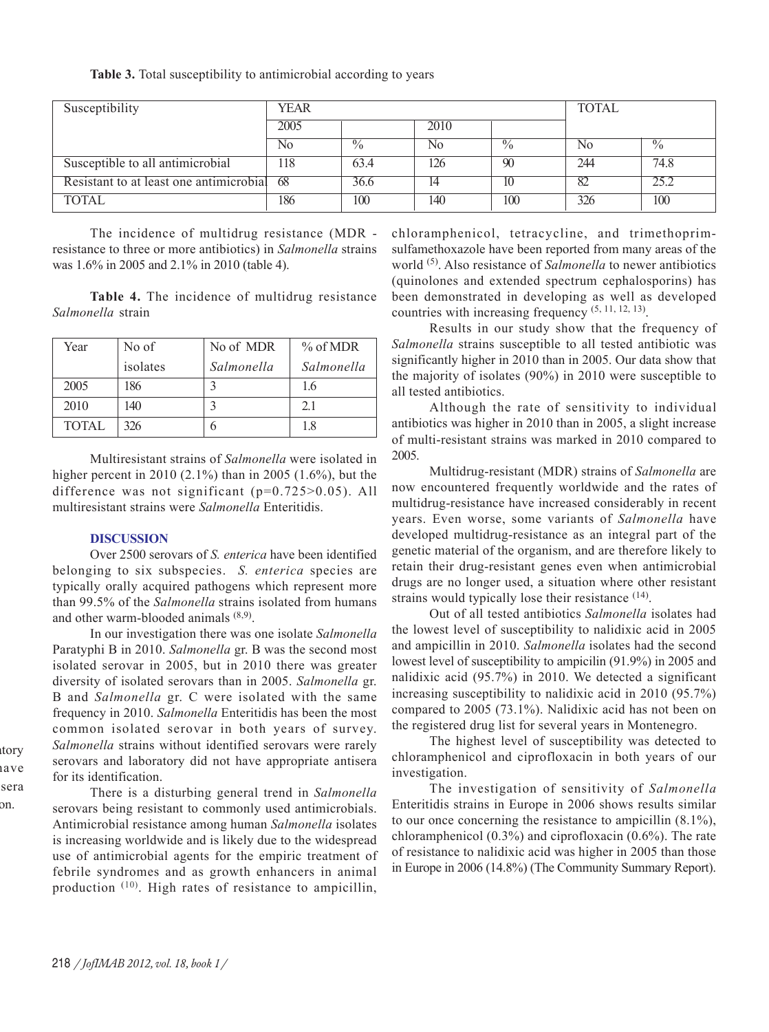**Table 3.** Total susceptibility to antimicrobial according to years

| Susceptibility                          | <b>YEAR</b> |               | <b>TOTAL</b> |               |     |               |
|-----------------------------------------|-------------|---------------|--------------|---------------|-----|---------------|
|                                         | 2005        |               | 2010         |               |     |               |
|                                         | No          | $\frac{0}{0}$ | No           | $\frac{0}{0}$ | No  | $\frac{0}{0}$ |
| Susceptible to all antimicrobial        | 118         | 63.4          | 126          | 90            | 244 | 74.8          |
| Resistant to at least one antimicrobial | -68         | 36.6          |              | 10            |     |               |
| <b>TOTAL</b>                            | 186         | 100           | 140          | 100           | 326 | 100           |

The incidence of multidrug resistance (MDR resistance to three or more antibiotics) in *Salmonella* strains was 1.6% in 2005 and 2.1% in 2010 (table 4).

**Table 4.** The incidence of multidrug resistance *Salmonella* strain

| Year         | No of    | No of MDR  | % of MDR   |
|--------------|----------|------------|------------|
|              | isolates | Salmonella | Salmonella |
| 2005         | 186      |            | 1.6        |
| 2010         | 140      |            | 21         |
| <b>TOTAL</b> | 326      | h          | 1.8        |

Multiresistant strains of *Salmonella* were isolated in higher percent in 2010 (2.1%) than in 2005 (1.6%), but the difference was not significant (p=0.725>0.05). All multiresistant strains were *Salmonella* Enteritidis.

# **DISCUSSION**

Over 2500 serovars of *S. enterica* have been identified belonging to six subspecies. *S. enterica* species are typically orally acquired pathogens which represent more than 99.5% of the *Salmonella* strains isolated from humans and other warm-blooded animals (8,9).

In our investigation there was one isolate *Salmonella* Paratyphi B in 2010. *Salmonella* gr. B was the second most isolated serovar in 2005, but in 2010 there was greater diversity of isolated serovars than in 2005. *Salmonella* gr. B and *Salmonella* gr. C were isolated with the same frequency in 2010. *Salmonella* Enteritidis has been the most common isolated serovar in both years of survey. *Salmonella* strains without identified serovars were rarely serovars and laboratory did not have appropriate antisera for its identification.

There is a disturbing general trend in *Salmonella* serovars being resistant to commonly used antimicrobials. Antimicrobial resistance among human *Salmonella* isolates is increasing worldwide and is likely due to the widespread use of antimicrobial agents for the empiric treatment of febrile syndromes and as growth enhancers in animal production (10). High rates of resistance to ampicillin,

chloramphenicol, tetracycline, and trimethoprimsulfamethoxazole have been reported from many areas of the world (5). Also resistance of *Salmonella* to newer antibiotics (quinolones and extended spectrum cephalosporins) has been demonstrated in developing as well as developed countries with increasing frequency  $(5, 11, 12, 13)$ .

Results in our study show that the frequency of *Salmonella* strains susceptible to all tested antibiotic was significantly higher in 2010 than in 2005. Our data show that the majority of isolates (90%) in 2010 were susceptible to all tested antibiotics.

Although the rate of sensitivity to individual antibiotics was higher in 2010 than in 2005, a slight increase of multi-resistant strains was marked in 2010 compared to 2005.

Multidrug-resistant (MDR) strains of *Salmonella* are now encountered frequently worldwide and the rates of multidrug-resistance have increased considerably in recent years. Even worse, some variants of *Salmonella* have developed multidrug-resistance as an integral part of the genetic material of the organism, and are therefore likely to retain their drug-resistant genes even when antimicrobial drugs are no longer used, a situation where other resistant strains would typically lose their resistance <sup>(14)</sup>.

Out of all tested antibiotics *Salmonella* isolates had the lowest level of susceptibility to nalidixic acid in 2005 and ampicillin in 2010. *Salmonella* isolates had the second lowest level of susceptibility to ampicilin (91.9%) in 2005 and nalidixic acid (95.7%) in 2010. We detected a significant increasing susceptibility to nalidixic acid in 2010 (95.7%) compared to 2005 (73.1%). Nalidixic acid has not been on the registered drug list for several years in Montenegro.

The highest level of susceptibility was detected to chloramphenicol and ciprofloxacin in both years of our investigation.

The investigation of sensitivity of *Salmonella* Enteritidis strains in Europe in 2006 shows results similar to our once concerning the resistance to ampicillin (8.1%), chloramphenicol (0.3%) and ciprofloxacin (0.6%). The rate of resistance to nalidixic acid was higher in 2005 than those in Europe in 2006 (14.8%) (The Community Summary Report).

atory ave sera on.